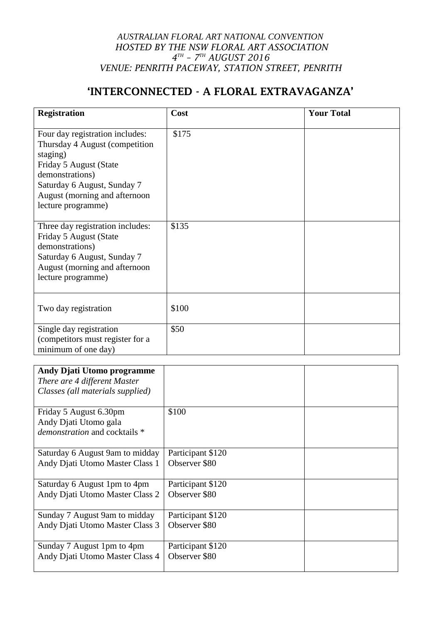## *AUSTRALIAN FLORAL ART NATIONAL CONVENTION HOSTED BY THE NSW FLORAL ART ASSOCIATION 4 TH – 7 TH AUGUST 2016 VENUE: PENRITH PACEWAY, STATION STREET, PENRITH*

## 'INTERCONNECTED - A FLORAL EXTRAVAGANZA'

| <b>Registration</b>                                                                                                                                                                                               | Cost  | <b>Your Total</b> |
|-------------------------------------------------------------------------------------------------------------------------------------------------------------------------------------------------------------------|-------|-------------------|
| Four day registration includes:<br>Thursday 4 August (competition)<br>staging)<br>Friday 5 August (State<br>demonstrations)<br>Saturday 6 August, Sunday 7<br>August (morning and afternoon<br>lecture programme) | \$175 |                   |
| Three day registration includes:<br>Friday 5 August (State<br>demonstrations)<br>Saturday 6 August, Sunday 7<br>August (morning and afternoon<br>lecture programme)                                               | \$135 |                   |
| Two day registration                                                                                                                                                                                              | \$100 |                   |
| Single day registration<br>(competitors must register for a<br>minimum of one day)                                                                                                                                | \$50  |                   |

| <b>Andy Djati Utomo programme</b>    |                   |  |
|--------------------------------------|-------------------|--|
| There are 4 different Master         |                   |  |
| Classes (all materials supplied)     |                   |  |
|                                      |                   |  |
| Friday 5 August 6.30pm               | \$100             |  |
| Andy Djati Utomo gala                |                   |  |
| <i>demonstration</i> and cocktails * |                   |  |
|                                      |                   |  |
| Saturday 6 August 9am to midday      | Participant \$120 |  |
| Andy Djati Utomo Master Class 1      | Observer \$80     |  |
|                                      |                   |  |
| Saturday 6 August 1pm to 4pm         | Participant \$120 |  |
| Andy Djati Utomo Master Class 2      | Observer \$80     |  |
|                                      |                   |  |
| Sunday 7 August 9am to midday        | Participant \$120 |  |
| Andy Djati Utomo Master Class 3      | Observer \$80     |  |
|                                      |                   |  |
| Sunday 7 August 1pm to 4pm           | Participant \$120 |  |
| Andy Djati Utomo Master Class 4      | Observer \$80     |  |
|                                      |                   |  |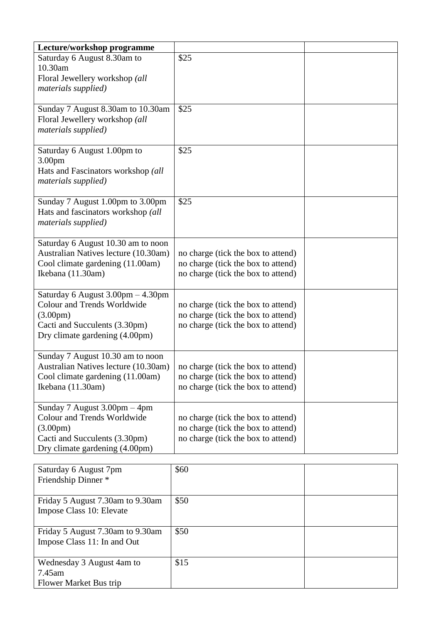| Lecture/workshop programme                                      |                                                                          |  |
|-----------------------------------------------------------------|--------------------------------------------------------------------------|--|
| Saturday 6 August 8.30am to<br>10.30am                          | \$25                                                                     |  |
| Floral Jewellery workshop (all                                  |                                                                          |  |
| materials supplied)                                             |                                                                          |  |
| Sunday 7 August 8.30am to 10.30am                               | \$25                                                                     |  |
| Floral Jewellery workshop (all                                  |                                                                          |  |
| materials supplied)                                             |                                                                          |  |
|                                                                 | \$25                                                                     |  |
| Saturday 6 August 1.00pm to<br>3.00pm                           |                                                                          |  |
| Hats and Fascinators workshop (all                              |                                                                          |  |
| materials supplied)                                             |                                                                          |  |
| Sunday 7 August 1.00pm to 3.00pm                                | \$25                                                                     |  |
| Hats and fascinators workshop (all                              |                                                                          |  |
| materials supplied)                                             |                                                                          |  |
| Saturday 6 August 10.30 am to noon                              |                                                                          |  |
| Australian Natives lecture (10.30am)                            | no charge (tick the box to attend)                                       |  |
| Cool climate gardening (11.00am)<br>Ikebana (11.30am)           | no charge (tick the box to attend)<br>no charge (tick the box to attend) |  |
|                                                                 |                                                                          |  |
| Saturday 6 August 3.00pm - 4.30pm                               |                                                                          |  |
| <b>Colour and Trends Worldwide</b>                              | no charge (tick the box to attend)                                       |  |
| $(3.00 \text{pm})$<br>Cacti and Succulents (3.30pm)             | no charge (tick the box to attend)<br>no charge (tick the box to attend) |  |
| Dry climate gardening (4.00pm)                                  |                                                                          |  |
| Sunday 7 August 10.30 am to noon                                |                                                                          |  |
| Australian Natives lecture (10.30am)                            | no charge (tick the box to attend)                                       |  |
| Cool climate gardening (11.00am)                                | no charge (tick the box to attend)                                       |  |
| Ikebana (11.30am)                                               | no charge (tick the box to attend)                                       |  |
| Sunday 7 August 3.00pm - 4pm                                    |                                                                          |  |
| Colour and Trends Worldwide                                     | no charge (tick the box to attend)                                       |  |
| $(3.00 \text{pm})$                                              | no charge (tick the box to attend)                                       |  |
| Cacti and Succulents (3.30pm)<br>Dry climate gardening (4.00pm) | no charge (tick the box to attend)                                       |  |
|                                                                 |                                                                          |  |
| Saturday 6 August 7pm                                           | \$60                                                                     |  |

| Saturday 6 August /pm            | 360  |  |
|----------------------------------|------|--|
| Friendship Dinner *              |      |  |
|                                  |      |  |
| Friday 5 August 7.30am to 9.30am | \$50 |  |
| Impose Class 10: Elevate         |      |  |
|                                  |      |  |
| Friday 5 August 7.30am to 9.30am | \$50 |  |
| Impose Class 11: In and Out      |      |  |
|                                  |      |  |
| Wednesday 3 August 4am to        | \$15 |  |
| 7.45am                           |      |  |
| Flower Market Bus trip           |      |  |